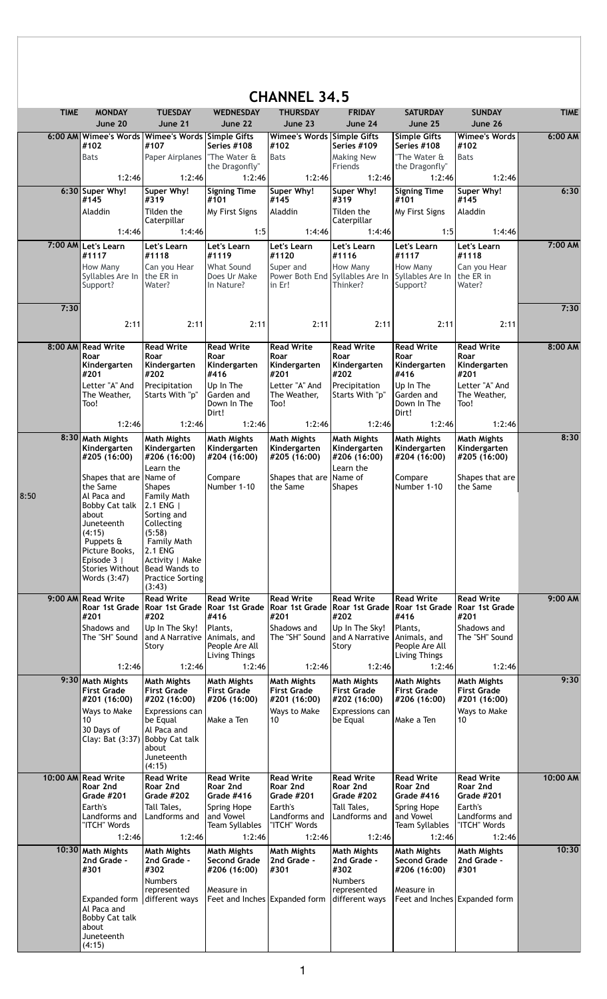| <b>CHANNEL 34.5</b> |             |                                                 |                                                          |                                          |                                          |                                          |                                          |                                          |             |
|---------------------|-------------|-------------------------------------------------|----------------------------------------------------------|------------------------------------------|------------------------------------------|------------------------------------------|------------------------------------------|------------------------------------------|-------------|
|                     | <b>TIME</b> | <b>MONDAY</b>                                   | <b>TUESDAY</b>                                           | <b>WEDNESDAY</b>                         | <b>THURSDAY</b>                          | <b>FRIDAY</b>                            | <b>SATURDAY</b>                          | <b>SUNDAY</b>                            | <b>TIME</b> |
|                     |             | June 20                                         | June 21                                                  | June 22                                  | June 23                                  | June 24                                  | June 25                                  | June 26                                  |             |
|                     |             | #102                                            | 6:00 AM Wimee's Words Wimee's Words Simple Gifts<br>#107 | Series #108                              | Wimee's Words Simple Gifts<br>#102       | Series #109                              | <b>Simple Gifts</b><br>Series #108       | <b>Wimee's Words</b><br>#102             | 6:00 AM     |
|                     |             | <b>Bats</b>                                     | Paper Airplanes                                          | "The Water &                             | <b>Bats</b>                              | <b>Making New</b>                        | "The Water &                             | <b>Bats</b>                              |             |
|                     |             |                                                 |                                                          | the Dragonfly"                           |                                          | Friends                                  | the Dragonfly"                           |                                          |             |
|                     |             | 1:2:46                                          | 1:2:46                                                   | 1:2:46                                   | 1:2:46                                   | 1:2:46                                   | 1:2:46                                   | 1:2:46                                   |             |
|                     |             | 6:30 Super Why!<br>#145                         | Super Why!<br>#319                                       | <b>Signing Time</b><br>#101              | Super Why!<br>#145                       | Super Why!<br>#319                       | <b>Signing Time</b><br>#101              | Super Why!<br>#145                       | 6:30        |
|                     |             | Aladdin                                         | Tilden the                                               | My First Signs                           | Aladdin                                  | Tilden the                               | My First Signs                           | Aladdin                                  |             |
|                     |             |                                                 | Caterpillar                                              |                                          |                                          | Caterpillar                              |                                          |                                          |             |
|                     |             | 1:4:46                                          | 1:4:46                                                   | 1:5                                      | 1:4:46                                   | 1:4:46                                   | 1:5                                      | 1:4:46                                   |             |
|                     |             | 7:00 AM Let's Learn                             | Let's Learn                                              | Let's Learn                              | Let's Learn                              | Let's Learn                              | Let's Learn                              | Let's Learn                              | 7:00 AM     |
|                     |             | #1117<br>How Many                               | #1118<br>Can you Hear                                    | #1119<br><b>What Sound</b>               | #1120<br>Super and                       | #1116<br>How Many                        | #1117<br>How Many                        | #1118<br>Can you Hear                    |             |
|                     |             | Syllables Are In                                | the ER in                                                | Does Ur Make                             | Power Both End Syllables Are In          |                                          | Syllables Are In                         | the ER in                                |             |
|                     |             | Support?                                        | Water?                                                   | In Nature?                               | in Er!                                   | Thinker?                                 | Support?                                 | Water?                                   |             |
|                     | 7:30        |                                                 |                                                          |                                          |                                          |                                          |                                          |                                          | 7:30        |
|                     |             |                                                 |                                                          |                                          |                                          |                                          |                                          |                                          |             |
|                     |             | 2:11                                            | 2:11                                                     | 2:11                                     | 2:11                                     | 2:11                                     | 2:11                                     | 2:11                                     |             |
|                     |             | 8:00 AM Read Write                              | <b>Read Write</b>                                        | <b>Read Write</b>                        | <b>Read Write</b>                        | <b>Read Write</b>                        | <b>Read Write</b>                        | <b>Read Write</b>                        | 8:00 AM     |
|                     |             | Roar                                            | Roar                                                     | Roar                                     | Roar                                     | Roar                                     | Roar                                     | Roar                                     |             |
|                     |             | Kindergarten<br>#201                            | Kindergarten<br>#202                                     | Kindergarten<br>#416                     | Kindergarten<br>#201                     | Kindergarten<br>#202                     | Kindergarten<br>#416                     | Kindergarten<br>#201                     |             |
|                     |             | Letter "A" And                                  | Precipitation                                            | Up In The                                | Letter "A" And                           | Precipitation                            | Up In The                                | Letter "A" And                           |             |
|                     |             | The Weather,<br>Too!                            | Starts With "p"                                          | Garden and<br>Down In The                | The Weather,<br>Too!                     | Starts With "p"                          | Garden and<br>Down In The                | The Weather,<br>Too!                     |             |
|                     |             |                                                 |                                                          | Dirt!                                    |                                          |                                          | Dirt!                                    |                                          |             |
|                     |             | 1:2:46                                          | 1:2:46                                                   | 1:2:46                                   | 1:2:46                                   | 1:2:46                                   | 1:2:46                                   | 1:2:46                                   |             |
|                     | 8:30        | <b>Math Mights</b>                              | <b>Math Mights</b>                                       | <b>Math Mights</b>                       | <b>Math Mights</b>                       | <b>Math Mights</b>                       | <b>Math Mights</b>                       | <b>Math Mights</b>                       | 8:30        |
|                     |             | Kindergarten<br>#205 (16:00)                    | Kindergarten<br>#206 (16:00)                             | Kindergarten<br>#204 (16:00)             | Kindergarten<br>#205 (16:00)             | Kindergarten<br>#206 (16:00)             | Kindergarten<br>#204 (16:00)             | Kindergarten<br>#205 (16:00)             |             |
|                     |             |                                                 | Learn the                                                |                                          |                                          | Learn the                                |                                          |                                          |             |
|                     |             | Shapes that are Name of<br>the Same             | <b>Shapes</b>                                            | Compare<br>Number 1-10                   | Shapes that are<br>the Same              | Name of<br><b>Shapes</b>                 | Compare<br>Number 1-10                   | Shapes that are<br>the Same              |             |
| 8:50                |             | Al Paca and                                     | Family Math                                              |                                          |                                          |                                          |                                          |                                          |             |
|                     |             | Bobby Cat talk                                  | 2.1 ENG                                                  |                                          |                                          |                                          |                                          |                                          |             |
|                     |             | about<br>Juneteenth                             | Sorting and<br>Collecting                                |                                          |                                          |                                          |                                          |                                          |             |
|                     |             | (4:15)<br>Puppets &                             | (5:58)<br>Family Math                                    |                                          |                                          |                                          |                                          |                                          |             |
|                     |             | Picture Books,                                  | 2.1 ENG                                                  |                                          |                                          |                                          |                                          |                                          |             |
|                     |             | Episode 3                                       | Activity   Make                                          |                                          |                                          |                                          |                                          |                                          |             |
|                     |             | Stories Without   Bead Wands to<br>Words (3:47) | <b>Practice Sorting</b>                                  |                                          |                                          |                                          |                                          |                                          |             |
|                     |             |                                                 | (3:43)                                                   |                                          |                                          |                                          |                                          |                                          |             |
|                     |             | 9:00 AM Read Write                              | <b>Read Write</b><br>Roar 1st Grade   Roar 1st Grade     | <b>Read Write</b><br>Roar 1st Grade      | <b>Read Write</b><br>Roar 1st Grade      | <b>Read Write</b><br>Roar 1st Grade      | <b>Read Write</b><br>Roar 1st Grade      | <b>Read Write</b><br>Roar 1st Grade      | 9:00 AM     |
|                     |             | #201                                            | #202                                                     | #416                                     | #201                                     | #202                                     | #416                                     | #201                                     |             |
|                     |             | Shadows and                                     | Up In The Sky!                                           | Plants,                                  | Shadows and                              | Up In The Sky!                           | Plants,                                  | Shadows and                              |             |
|                     |             | The "SH" Sound                                  | land A Narrative<br>Story                                | Animals, and<br>People Are All           | The "SH" Sound                           | and A Narrative<br>Story                 | Animals, and<br>People Are All           | The "SH" Sound                           |             |
|                     |             |                                                 |                                                          | Living Things                            |                                          |                                          | Living Things                            |                                          |             |
|                     |             | 1:2:46                                          | 1:2:46                                                   | 1:2:46                                   | 1:2:46                                   | 1:2:46                                   | 1:2:46                                   | 1:2:46                                   |             |
|                     |             | 9:30 Math Mights<br><b>First Grade</b>          | <b>Math Mights</b><br><b>First Grade</b>                 | <b>Math Mights</b><br><b>First Grade</b> | <b>Math Mights</b><br><b>First Grade</b> | <b>Math Mights</b><br><b>First Grade</b> | <b>Math Mights</b><br><b>First Grade</b> | <b>Math Mights</b><br><b>First Grade</b> | 9:30        |
|                     |             | #201 (16:00)                                    | #202 (16:00)                                             | #206 (16:00)                             | #201 (16:00)                             | #202 (16:00)                             | #206 (16:00)                             | #201 (16:00)                             |             |
|                     |             | Ways to Make<br>10                              | Expressions can                                          | Make a Ten                               | Ways to Make<br>10                       | Expressions can<br>be Equal              | Make a Ten                               | Ways to Make<br>10                       |             |
|                     |             | 30 Days of                                      | be Equal<br>Al Paca and                                  |                                          |                                          |                                          |                                          |                                          |             |
|                     |             | Clay: Bat (3:37)                                | <b>Bobby Cat talk</b>                                    |                                          |                                          |                                          |                                          |                                          |             |
|                     |             |                                                 | about<br>Juneteenth                                      |                                          |                                          |                                          |                                          |                                          |             |
|                     |             |                                                 | (4:15)                                                   |                                          |                                          |                                          |                                          |                                          |             |
|                     |             | 10:00 AM Read Write<br>Roar 2nd                 | <b>Read Write</b><br>Roar 2nd                            | <b>Read Write</b><br>Roar 2nd            | <b>Read Write</b><br>Roar 2nd            | <b>Read Write</b><br>Roar 2nd            | <b>Read Write</b><br>Roar 2nd            | <b>Read Write</b><br>Roar 2nd            | 10:00 AM    |
|                     |             | <b>Grade #201</b>                               | <b>Grade #202</b>                                        | Grade #416                               | Grade #201                               | Grade #202                               | Grade #416                               | Grade #201                               |             |
|                     |             | Earth's<br>Landforms and                        | Tall Tales,<br>Landforms and                             | Spring Hope<br>and Vowel                 | Earth's<br>Landforms and                 | Tall Tales,<br>Landforms and             | Spring Hope<br>and Vowel                 | Earth's<br>Landforms and                 |             |
|                     |             | "ITCH" Words                                    |                                                          | Team Syllables                           | "ITCH" Words                             |                                          | Team Syllables                           | "ITCH" Words                             |             |
|                     |             | 1:2:46                                          | 1:2:46                                                   | 1:2:46                                   | 1:2:46                                   | 1:2:46                                   | 1:2:46                                   | 1:2:46                                   |             |
|                     |             | 10:30 Math Mights                               | <b>Math Mights</b>                                       | <b>Math Mights</b>                       | Math Mights                              | <b>Math Mights</b>                       | Math Mights                              | <b>Math Mights</b>                       | 10:30       |
|                     |             | 2nd Grade -<br>#301                             | 2nd Grade -<br>#302                                      | Second Grade<br>#206 (16:00)             | 2nd Grade -<br>#301                      | 2nd Grade -<br>#302                      | <b>Second Grade</b><br>#206 (16:00)      | 2nd Grade -<br>#301                      |             |
|                     |             |                                                 | <b>Numbers</b>                                           |                                          |                                          | <b>Numbers</b>                           |                                          |                                          |             |
|                     |             |                                                 | represented                                              | Measure in                               |                                          | represented                              | Measure in                               |                                          |             |
|                     |             | Expanded form different ways<br>Al Paca and     |                                                          | Feet and Inches Expanded form            |                                          | different ways                           | Feet and Inches Expanded form            |                                          |             |
|                     |             | Bobby Cat talk                                  |                                                          |                                          |                                          |                                          |                                          |                                          |             |
|                     |             | about<br>Juneteenth                             |                                                          |                                          |                                          |                                          |                                          |                                          |             |
|                     |             | (4:15)                                          |                                                          |                                          |                                          |                                          |                                          |                                          |             |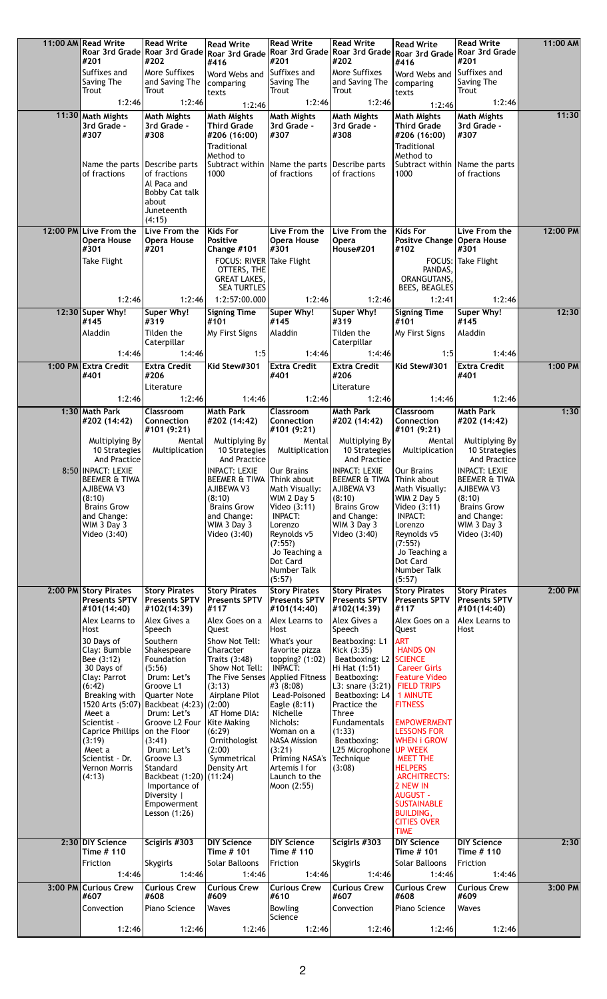| 11:00 AM Read Write                            | <b>Read Write</b>                                    | <b>Read Write</b>                                 | <b>Read Write</b>                                 | <b>Read Write</b>                                    | <b>Read Write</b>                           | <b>Read Write</b>                                | 11:00 AM  |
|------------------------------------------------|------------------------------------------------------|---------------------------------------------------|---------------------------------------------------|------------------------------------------------------|---------------------------------------------|--------------------------------------------------|-----------|
| #201                                           | Roar 3rd Grade Roar 3rd Grade Roar 3rd Grade<br>#202 |                                                   | #201                                              | Roar 3rd Grade Roar 3rd Grade Roar 3rd Grade<br>#202 |                                             | <b>Roar 3rd Grade</b><br>#201                    |           |
| Suffixes and                                   | More Suffixes                                        | #416<br>Word Webs and                             | Suffixes and                                      | More Suffixes                                        | #416<br>Word Webs and                       | Suffixes and                                     |           |
| Saving The                                     | and Saving The                                       | comparing                                         | Saving The                                        | and Saving The                                       | comparing                                   | Saving The                                       |           |
| Trout                                          | Trout                                                | texts                                             | Trout                                             | Trout<br>1:2:46                                      | texts                                       | Trout                                            |           |
| 1:2:46                                         | 1:2:46                                               | 1:2:46                                            | 1:2:46                                            |                                                      | 1:2:46                                      | 1:2:46                                           | 11:30     |
| 11:30 Math Mights<br>3rd Grade -               | <b>Math Mights</b><br>3rd Grade -                    | <b>Math Mights</b><br><b>Third Grade</b>          | <b>Math Mights</b><br>3rd Grade -                 | <b>Math Mights</b><br>3rd Grade -                    | <b>Math Mights</b><br>Third Grade           | <b>Math Mights</b><br>3rd Grade -                |           |
| #307                                           | #308                                                 | #206 (16:00)                                      | #307                                              | #308                                                 | #206 (16:00)                                | #307                                             |           |
|                                                |                                                      | Traditional                                       |                                                   |                                                      | Traditional                                 |                                                  |           |
| Name the parts                                 | Describe parts                                       | Method to                                         | Subtract within   Name the parts   Describe parts |                                                      | Method to<br>Subtract within Name the parts |                                                  |           |
| of fractions                                   | of fractions                                         | 1000                                              | of fractions                                      | of fractions                                         | 1000                                        | of fractions                                     |           |
|                                                | Al Paca and<br>Bobby Cat talk                        |                                                   |                                                   |                                                      |                                             |                                                  |           |
|                                                | about                                                |                                                   |                                                   |                                                      |                                             |                                                  |           |
|                                                | Juneteenth<br>(4:15)                                 |                                                   |                                                   |                                                      |                                             |                                                  |           |
| 12:00 PM Live From the                         | Live From the                                        | <b>Kids For</b>                                   | Live From the                                     | Live From the                                        | Kids For                                    | Live From the                                    | 12:00 PM  |
| <b>Opera House</b>                             | Opera House                                          | Positive                                          | <b>Opera House</b>                                | <b>Opera</b>                                         | Positve Change   Opera House                |                                                  |           |
| #301<br>Take Flight                            | #201                                                 | Change #101<br><b>FOCUS: RIVER</b>                | #301<br>Take Flight                               | House#201                                            | #102<br>FOCUS:                              | #301<br>Take Flight                              |           |
|                                                |                                                      | OTTERS, THE                                       |                                                   |                                                      | PANDAS.                                     |                                                  |           |
|                                                |                                                      | <b>GREAT LAKES,</b>                               |                                                   |                                                      | ORANGUTANS,                                 |                                                  |           |
| 1:2:46                                         | 1:2:46                                               | <b>SEA TURTLES</b><br>1:2:57:00.000               | 1:2:46                                            | 1:2:46                                               | BEES, BEAGLES<br>1:2:41                     | 1:2:46                                           |           |
| 12:30 Super Why!                               | Super Why!                                           | <b>Signing Time</b>                               | Super Why!                                        | Super Why!                                           | <b>Signing Time</b>                         | Super Why!                                       | 12:30     |
| #145                                           | #319                                                 | #101                                              | #145                                              | #319                                                 | #101                                        | #145                                             |           |
| Aladdin                                        | Tilden the<br>Caterpillar                            | My First Signs                                    | Aladdin                                           | Tilden the<br>Caterpillar                            | My First Signs                              | Aladdin                                          |           |
| 1:4:46                                         | 1:4:46                                               | 1:5                                               | 1:4:46                                            | 1:4:46                                               | 1:5                                         | 1:4:46                                           |           |
| 1:00 PM Extra Credit                           | <b>Extra Credit</b>                                  | Kid Stew#301                                      | <b>Extra Credit</b>                               | <b>Extra Credit</b>                                  | Kid Stew#301                                | <b>Extra Credit</b>                              | 1:00 PM   |
| #401                                           | #206                                                 |                                                   | #401                                              | #206                                                 |                                             | #401                                             |           |
| 1:2:46                                         | Literature<br>1:2:46                                 |                                                   | 1:2:46                                            | Literature<br>1:2:46                                 |                                             | 1:2:46                                           |           |
| 1:30 Math Park                                 | <b>Classroom</b>                                     | 1:4:46<br><b>Math Park</b>                        | <b>Classroom</b>                                  | <b>Math Park</b>                                     | 1:4:46<br>Classroom                         | <b>Math Park</b>                                 | 1:30      |
| #202 (14:42)                                   | Connection                                           | #202 (14:42)                                      | Connection                                        | #202 (14:42)                                         | Connection                                  | #202 (14:42)                                     |           |
|                                                | #101 (9:21)                                          |                                                   | #101 (9:21)                                       |                                                      | #101 (9:21)                                 |                                                  |           |
| Multiplying By<br>10 Strategies                | Mental<br>Multiplication                             | Multiplying By<br>10 Strategies                   | Mental<br>Multiplication                          | Multiplying By<br>10 Strategies                      | Mental<br>Multiplication                    | Multiplying By<br>10 Strategies                  |           |
| And Practice                                   |                                                      | And Practice                                      |                                                   | And Practice                                         |                                             | And Practice                                     |           |
| 8:50 INPACT: LEXIE<br><b>BEEMER &amp; TIWA</b> |                                                      | <b>INPACT: LEXIE</b><br>BEEMER & TIWA Think about | Our Brains                                        | <b>INPACT: LEXIE</b><br>BEEMER & TIWA Think about    | Our Brains                                  | <b>INPACT: LEXIE</b><br><b>BEEMER &amp; TIWA</b> |           |
| AJIBEWA V3                                     |                                                      | AJIBEWA V3                                        | Math Visually:                                    | <b>AJIBEWA V3</b>                                    | Math Visually:                              | AJIBEWA V3                                       |           |
| (8:10)                                         |                                                      | (8:10)                                            | WIM 2 Day 5                                       | (8:10)                                               | WIM 2 Day 5                                 | (8:10)                                           |           |
|                                                |                                                      |                                                   |                                                   |                                                      |                                             |                                                  |           |
| <b>Brains Grow</b>                             |                                                      | <b>Brains Grow</b>                                | Video (3:11)                                      | <b>Brains Grow</b>                                   | Video (3:11)                                | <b>Brains Grow</b>                               |           |
| and Change:<br>WIM 3 Day 3                     |                                                      | and Change:<br>WIM 3 Day 3                        | <b>INPACT:</b><br>Lorenzo                         | and Change:<br>WIM 3 Day 3                           | <b>INPACT:</b><br>Lorenzo                   | and Change:<br>WIM 3 Day 3                       |           |
| Video (3:40)                                   |                                                      | Video (3:40)                                      | Reynolds v5                                       | Video (3:40)                                         | Reynolds v5                                 | Video (3:40)                                     |           |
|                                                |                                                      |                                                   | (7:55?)<br>Jo Teaching a                          |                                                      | (7:55?)<br>Jo Teaching a                    |                                                  |           |
|                                                |                                                      |                                                   | Dot Card                                          |                                                      | Dot Card                                    |                                                  |           |
|                                                |                                                      |                                                   | Number Talk<br>(5:57)                             |                                                      | <b>Number Talk</b><br>(5:57)                |                                                  |           |
| 2:00 PM Story Pirates                          | <b>Story Pirates</b>                                 | <b>Story Pirates</b>                              | <b>Story Pirates</b>                              | <b>Story Pirates</b>                                 | <b>Story Pirates</b>                        | <b>Story Pirates</b>                             | 2:00 PM   |
| <b>Presents SPTV</b><br>#101(14:40)            | <b>Presents SPTV</b><br>#102(14:39)                  | <b>Presents SPTV</b><br>#117                      | <b>Presents SPTV</b><br>#101(14:40)               | <b>Presents SPTV</b><br>#102(14:39)                  | <b>Presents SPTV</b><br>#117                | <b>Presents SPTV</b><br>#101(14:40)              |           |
| Alex Learns to                                 | Alex Gives a                                         | Alex Goes on a                                    | Alex Learns to                                    | Alex Gives a                                         | Alex Goes on a                              | Alex Learns to                                   |           |
| Host                                           | Speech                                               | Quest                                             | Host                                              | Speech                                               | Quest                                       | Host                                             |           |
| 30 Days of<br>Clay: Bumble                     | Southern<br>Shakespeare                              | Show Not Tell:<br>Character                       | What's your<br>favorite pizza                     | Beatboxing: L1<br>Kick (3:35)                        | <b>ART</b><br><b>HANDS ON</b>               |                                                  |           |
| Bee (3:12)                                     | Foundation                                           | Traits $(3:48)$                                   | topping? (1:02)                                   | Beatboxing: L2   SCIENCE                             |                                             |                                                  |           |
| 30 Days of                                     | (5:56)                                               | Show Not Tell:                                    | <b>INPACT:</b>                                    | Hi Hat (1:51)                                        | <b>Career Girls</b>                         |                                                  |           |
| Clay: Parrot<br>(6:42)                         | Drum: Let's<br>Groove L1                             | The Five Senses Applied Fitness<br>(3:13)         | #3 (8:08)                                         | Beatboxing:<br>L3: snare $(3:21)$ FIELD TRIPS        | <b>Feature Video</b>                        |                                                  |           |
| Breaking with                                  | <b>Quarter Note</b>                                  | Airplane Pilot                                    | Lead-Poisoned                                     | Beatboxing: L4   1 MINUTE                            |                                             |                                                  |           |
| 1520 Arts (5:07)<br>Meet a                     | Backbeat (4:23) (2:00)<br>Drum: Let's                | AT Home DIA:                                      | Eagle (8:11)<br>Nichelle                          | Practice the<br>Three                                | <b>FITNESS</b>                              |                                                  |           |
| Scientist -                                    | Groove L2 Four   Kite Making                         |                                                   | Nichols:                                          | Fundamentals                                         | <b>EMPOWERMENT</b>                          |                                                  |           |
| Caprice Phillips<br>(3:19)                     | on the Floor<br>(3:41)                               | (6:29)<br>Ornithologist                           | Woman on a<br><b>NASA Mission</b>                 | (1:33)<br>Beatboxing:                                | <b>LESSONS FOR</b><br><b>WHEN i GROW</b>    |                                                  |           |
| Meet a                                         | Drum: Let's                                          | (2:00)                                            | (3:21)                                            | L25 Microphone UP WEEK                               |                                             |                                                  |           |
| Scientist - Dr.<br>Vernon Morris               | Groove L3<br>Standard                                | Symmetrical<br>Density Art                        | Priming NASA's<br>Artemis I for                   | Technique<br>(3:08)                                  | <b>MEET THE</b><br><b>HELPERS</b>           |                                                  |           |
| (4:13)                                         | Backbeat (1:20) (11:24)                              |                                                   | Launch to the                                     |                                                      | <b>ARCHITRECTS:</b>                         |                                                  |           |
|                                                | Importance of<br>Diversity                           |                                                   | Moon (2:55)                                       |                                                      | 2 NEW IN<br><b>AUGUST -</b>                 |                                                  |           |
|                                                | Empowerment                                          |                                                   |                                                   |                                                      | <b>SUSTAINABLE</b>                          |                                                  |           |
|                                                | Lesson (1:26)                                        |                                                   |                                                   |                                                      | <b>BUILDING,</b><br><b>CITIES OVER</b>      |                                                  |           |
|                                                |                                                      |                                                   |                                                   |                                                      | <b>TIME</b>                                 |                                                  |           |
| 2:30 DIY Science                               | Scigirls #303                                        | <b>DIY Science</b>                                | <b>DIY Science</b><br>Time # 110                  | Scigirls #303                                        | <b>DIY Science</b>                          | <b>DIY Science</b>                               | 2:30      |
| Time # 110<br>Friction                         | Skygirls                                             | Time # 101<br>Solar Balloons                      | Friction                                          | Skygirls                                             | Time # 101<br>Solar Balloons                | Time # 110<br>Friction                           |           |
| 1:4:46                                         | 1:4:46                                               | 1:4:46                                            | 1:4:46                                            | 1:4:46                                               | 1:4:46                                      | 1:4:46                                           |           |
| 3:00 PM Curious Crew                           | <b>Curious Crew</b>                                  | <b>Curious Crew</b>                               | <b>Curious Crew</b>                               | <b>Curious Crew</b>                                  | <b>Curious Crew</b>                         | <b>Curious Crew</b>                              | $3:00$ PM |
| #607                                           | #608                                                 | #609                                              | #610                                              | #607                                                 | #608                                        | #609                                             |           |
| Convection                                     | Piano Science                                        | Waves                                             | <b>Bowling</b><br>Science                         | Convection                                           | Piano Science                               | Waves                                            |           |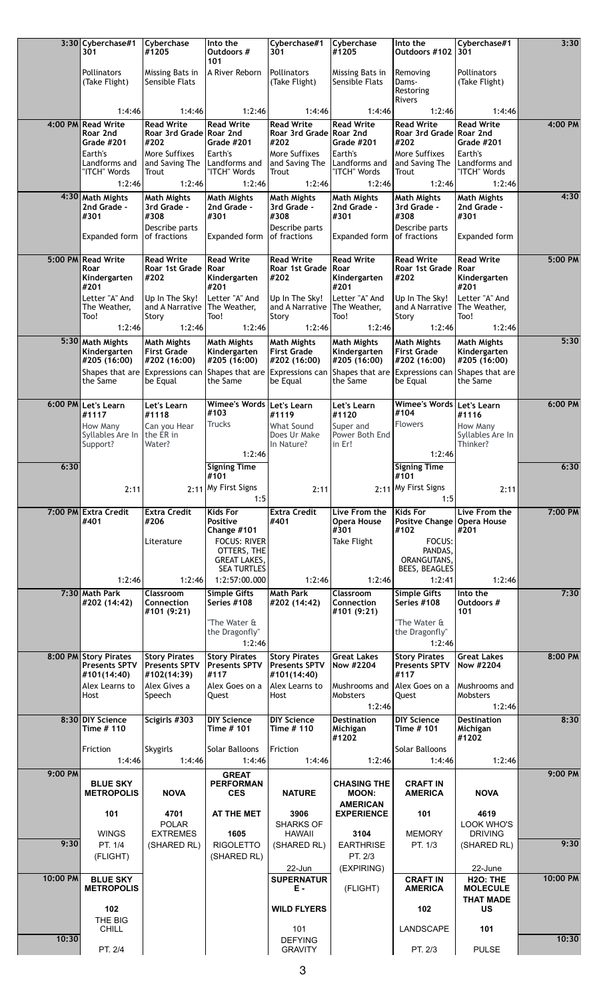|          | 3:30 Cyberchase#1<br>301                | Cyberchase<br>#1205                          | Into the<br>Outdoors #<br>101                  | Cyberchase#1<br>301                          | Cyberchase<br>#1205                       | Into the<br>Outdoors #102                    | Cyberchase#1<br>301                       | 3:30     |
|----------|-----------------------------------------|----------------------------------------------|------------------------------------------------|----------------------------------------------|-------------------------------------------|----------------------------------------------|-------------------------------------------|----------|
|          | Pollinators                             | Missing Bats in                              | A River Reborn                                 | Pollinators                                  | Missing Bats in                           | Removing                                     | <b>Pollinators</b>                        |          |
|          | (Take Flight)                           | Sensible Flats                               |                                                | (Take Flight)                                | Sensible Flats                            | Dams-<br>Restoring                           | (Take Flight)                             |          |
|          | 1:4:46                                  | 1:4:46                                       | 1:2:46                                         | 1:4:46                                       | 1:4:46                                    | Rivers<br>1:2:46                             | 1:4:46                                    |          |
|          | 4:00 PM Read Write<br>Roar 2nd          | <b>Read Write</b><br>Roar 3rd Grade Roar 2nd | <b>Read Write</b>                              | <b>Read Write</b><br>Roar 3rd Grade Roar 2nd | <b>Read Write</b>                         | <b>Read Write</b><br>Roar 3rd Grade Roar 2nd | <b>Read Write</b>                         | 4:00 PM  |
|          | <b>Grade #201</b><br>Earth's            | #202<br>More Suffixes                        | <b>Grade #201</b><br>Earth's                   | #202<br>More Suffixes                        | Grade #201<br>Earth's                     | #202<br>More Suffixes                        | Grade #201<br>Earth's                     |          |
|          | Landforms and<br>"ITCH" Words           | and Saving The<br>Trout                      | Landforms and<br>"ITCH" Words                  | and Saving The<br>Trout                      | Landforms and<br>"ITCH" Words             | and Saving The<br>Trout                      | Landforms and<br>"ITCH" Words             |          |
|          | 1:2:46                                  | 1:2:46                                       | 1:2:46                                         | 1:2:46                                       | 1:2:46                                    | 1:2:46                                       | 1:2:46                                    | 4:30     |
|          | 4:30 Math Mights<br>2nd Grade -<br>#301 | <b>Math Mights</b><br>3rd Grade -<br>#308    | <b>Math Mights</b><br>2nd Grade -<br>#301      | <b>Math Mights</b><br>3rd Grade -<br>#308    | <b>Math Mights</b><br>2nd Grade -<br>#301 | <b>Math Mights</b><br>3rd Grade -<br>#308    | <b>Math Mights</b><br>2nd Grade -<br>#301 |          |
|          |                                         | Describe parts                               |                                                | Describe parts                               |                                           | Describe parts                               |                                           |          |
|          | Expanded form                           | of fractions                                 | Expanded form                                  | of fractions                                 | Expanded form                             | of fractions                                 | Expanded form                             |          |
|          | 5:00 PM Read Write<br>Roar              | <b>Read Write</b><br>Roar 1st Grade          | <b>Read Write</b><br>Roar                      | <b>Read Write</b><br>Roar 1st Grade          | <b>Read Write</b><br>Roar                 | <b>Read Write</b><br>Roar 1st Grade          | <b>Read Write</b><br>Roar                 | 5:00 PM  |
|          | Kindergarten<br>#201                    | #202                                         | Kindergarten<br>#201                           | #202                                         | Kindergarten<br>#201                      | #202                                         | Kindergarten<br>#201                      |          |
|          | Letter "A" And<br>The Weather,          | Up In The Sky!<br>and A Narrative            | Letter "A" And<br>The Weather,                 | Up In The Sky!<br>and A Narrative            | Letter "A" And<br>The Weather,            | Up In The Sky!<br>and A Narrative            | Letter "A" And<br>The Weather,            |          |
|          | Too!<br>1:2:46                          | Story<br>1:2:46                              | Too!<br>1:2:46                                 | Story<br>1:2:46                              | Too!<br>1:2:46                            | Story<br>1:2:46                              | Too!<br>1:2:46                            |          |
| 5:30     | <b>Math Mights</b>                      | <b>Math Mights</b>                           | <b>Math Mights</b>                             | <b>Math Mights</b>                           | <b>Math Mights</b>                        | <b>Math Mights</b>                           | <b>Math Mights</b>                        | 5:30     |
|          | Kindergarten<br>#205 (16:00)            | <b>First Grade</b><br>#202 (16:00)           | Kindergarten<br>#205 (16:00)                   | <b>First Grade</b><br>#202 (16:00)           | Kindergarten<br>#205 (16:00)              | <b>First Grade</b><br>#202 (16:00)           | Kindergarten<br>#205 (16:00)              |          |
|          | the Same                                | Shapes that are Expressions can<br>be Equal  | Shapes that are<br>the Same                    | Expressions can<br>be Equal                  | Shapes that are<br>the Same               | <b>Expressions can</b><br>be Equal           | Shapes that are<br>the Same               |          |
|          | 6:00 PM Let's Learn                     | Let's Learn                                  | Wimee's Words   Let's Learn                    |                                              | Let's Learn                               | <b>Wimee's Words</b>                         | Let's Learn                               | 6:00 PM  |
|          | #1117<br>How Many                       | #1118<br>Can you Hear                        | #103<br><b>Trucks</b>                          | #1119<br>What Sound                          | #1120<br>Super and                        | #104<br>Flowers                              | #1116<br>How Many                         |          |
|          | Syllables Are In<br>Support?            | the ER in<br>Water?                          |                                                | Does Ur Make<br>In Nature?                   | Power Both End<br>in Er!                  |                                              | Syllables Are In<br>Thinker?              |          |
|          |                                         |                                              | 1:2:46                                         |                                              |                                           | 1:2:46                                       |                                           |          |
| 6:30     |                                         |                                              | <b>Signing Time</b><br>#101                    |                                              |                                           | <b>Signing Time</b><br>#101                  |                                           | 6:30     |
|          | 2:11                                    |                                              | 2:11 My First Signs<br>1:5                     | 2:11                                         |                                           | 2:11 My First Signs<br>1:5                   | 2:11                                      |          |
|          | 7:00 PM Extra Credit<br>#401            | <b>Extra Credit</b><br>#206                  | <b>Kids For</b><br>Positive                    | <b>Extra Credit</b><br>#401                  | Live From the<br><b>Opera House</b>       | Kids For<br>Positve Change   Opera House     | Live From the                             | 7:00 PM  |
|          |                                         | Literature                                   | Change #101<br><b>FOCUS: RIVER</b>             |                                              | #301<br>Take Flight                       | #102<br>FOCUS:                               | #201                                      |          |
|          |                                         |                                              | OTTERS, THE<br><b>GREAT LAKES,</b>             |                                              |                                           | PANDAS.<br>ORANGUTANS,                       |                                           |          |
|          | 1:2:46                                  |                                              | <b>SEA TURTLES</b>                             |                                              |                                           | BEES, BEAGLES                                |                                           |          |
|          |                                         | 1:2:46                                       |                                                | 1:2:46                                       | 1:2:46                                    | 1:2:41                                       | 1:2:46                                    |          |
|          | 7:30 Math Park                          | Classroom                                    | 1:2:57:00.000<br><b>Simple Gifts</b>           | <b>Math Park</b>                             | <b>Classroom</b>                          | <b>Simple Gifts</b>                          | Into the                                  | 7:30     |
|          | #202 (14:42)                            | Connection<br>#101 (9:21)                    | Series #108                                    | #202 (14:42)                                 | Connection<br>#101 (9:21)                 | Series #108                                  | Outdoors #<br>101                         |          |
|          |                                         |                                              | "The Water &<br>the Dragonfly"                 |                                              |                                           | "The Water &<br>the Dragonfly"               |                                           |          |
|          | 8:00 PM Story Pirates                   | <b>Story Pirates</b>                         | 1:2:46<br><b>Story Pirates</b>                 | <b>Story Pirates</b>                         | <b>Great Lakes</b>                        | 1:2:46<br><b>Story Pirates</b>               | <b>Great Lakes</b>                        | 8:00 PM  |
|          | <b>Presents SPTV</b><br>#101(14:40)     | <b>Presents SPTV</b><br>#102(14:39)          | <b>Presents SPTV</b><br>#117                   | <b>Presents SPTV</b><br>#101(14:40)          | Now #2204                                 | <b>Presents SPTV</b><br>#117                 | Now #2204                                 |          |
|          | Alex Learns to<br>Host                  | Alex Gives a<br>Speech                       | Alex Goes on a<br>Quest                        | Alex Learns to<br>Host                       | Mushrooms and<br>Mobsters                 | Alex Goes on a<br>Quest                      | Mushrooms and<br>Mobsters                 |          |
|          |                                         |                                              |                                                |                                              | 1:2:46                                    |                                              | 1:2:46                                    |          |
|          | 8:30 DIY Science<br>Time # 110          | Scigirls #303                                | <b>DIY Science</b><br>Time # 101               | <b>DIY Science</b><br>Time # 110             | <b>Destination</b><br>Michigan            | <b>DIY Science</b><br>Time # 101             | <b>Destination</b><br>Michigan            | 8:30     |
|          | Friction                                | Skygirls                                     | Solar Balloons                                 | Friction                                     | #1202                                     | <b>Solar Balloons</b>                        | #1202                                     |          |
|          | 1:4:46                                  | 1:4:46                                       | 1:4:46                                         | 1:4:46                                       | 1:2:46                                    | 1:4:46                                       | 1:2:46                                    |          |
| 9:00 PM  | <b>BLUE SKY</b><br><b>METROPOLIS</b>    | <b>NOVA</b>                                  | <b>GREAT</b><br><b>PERFORMAN</b><br><b>CES</b> | <b>NATURE</b>                                | <b>CHASING THE</b><br><b>MOON:</b>        | <b>CRAFT IN</b><br><b>AMERICA</b>            | <b>NOVA</b>                               | 9:00 PM  |
|          | 101                                     | 4701                                         | AT THE MET                                     | 3906                                         | <b>AMERICAN</b><br><b>EXPERIENCE</b>      | 101                                          | 4619                                      |          |
|          | <b>WINGS</b>                            | <b>POLAR</b><br><b>EXTREMES</b>              | 1605                                           | <b>SHARKS OF</b><br><b>HAWAII</b>            | 3104                                      | <b>MEMORY</b>                                | LOOK WHO'S<br><b>DRIVING</b>              |          |
| 9:30     | PT. 1/4                                 | (SHARED RL)                                  | <b>RIGOLETTO</b>                               | (SHARED RL)                                  | <b>EARTHRISE</b>                          | PT. 1/3                                      | (SHARED RL)                               | 9:30     |
|          | (FLIGHT)                                |                                              | (SHARED RL)                                    | 22-Jun                                       | PT. 2/3<br>(EXPIRING)                     |                                              | 22-June                                   |          |
| 10:00 PM | <b>BLUE SKY</b><br><b>METROPOLIS</b>    |                                              |                                                | <b>SUPERNATUR</b><br>Ε.                      | (FLIGHT)                                  | <b>CRAFT IN</b><br><b>AMERICA</b>            | H <sub>2O</sub> : THE<br><b>MOLECULE</b>  | 10:00 PM |
|          | 102                                     |                                              |                                                | <b>WILD FLYERS</b>                           |                                           | 102                                          | <b>THAT MADE</b><br>US                    |          |
| 10:30    | THE BIG<br>CHILL                        |                                              |                                                | 101<br><b>DEFYING</b>                        |                                           | LANDSCAPE                                    | 101                                       | 10:30    |